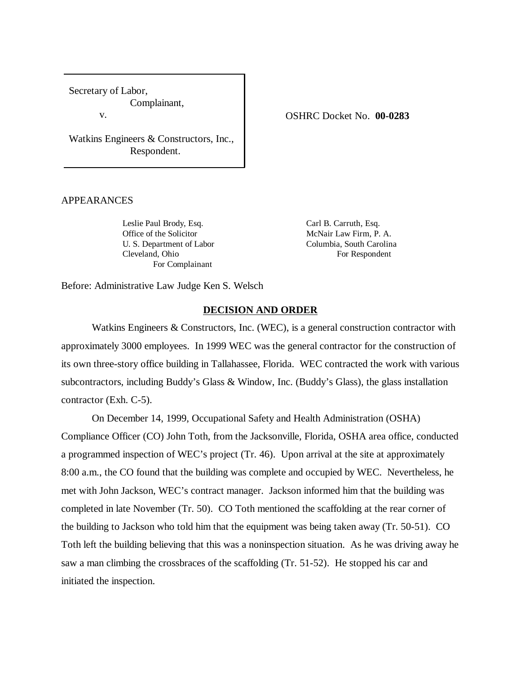Secretary of Labor, Complainant,

v.

Watkins Engineers & Constructors, Inc., Respondent.

## APPEARANCES

Leslie Paul Brody, Esq. Carl B. Carruth, Esq. Office of the Solicitor McNair Law Firm, P. A. U. S. Department of Labor Columbia, South Carolina Cleveland, Ohio For Respondent For Complainant

Before: Administrative Law Judge Ken S. Welsch

### **DECISION AND ORDER**

Watkins Engineers & Constructors, Inc. (WEC), is a general construction contractor with approximately 3000 employees. In 1999 WEC was the general contractor for the construction of its own three-story office building in Tallahassee, Florida. WEC contracted the work with various subcontractors, including Buddy's Glass & Window, Inc. (Buddy's Glass), the glass installation contractor (Exh. C-5).

On December 14, 1999, Occupational Safety and Health Administration (OSHA) Compliance Officer (CO) John Toth, from the Jacksonville, Florida, OSHA area office, conducted a programmed inspection of WEC's project (Tr. 46). Upon arrival at the site at approximately 8:00 a.m., the CO found that the building was complete and occupied by WEC. Nevertheless, he met with John Jackson, WEC's contract manager. Jackson informed him that the building was completed in late November (Tr. 50). CO Toth mentioned the scaffolding at the rear corner of the building to Jackson who told him that the equipment was being taken away (Tr. 50-51). CO Toth left the building believing that this was a noninspection situation. As he was driving away he saw a man climbing the crossbraces of the scaffolding (Tr. 51-52). He stopped his car and initiated the inspection.

### OSHRC Docket No. **00-0283**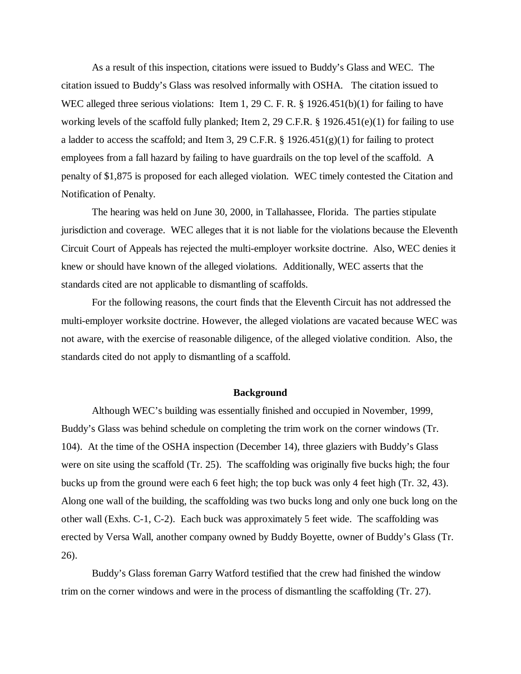As a result of this inspection, citations were issued to Buddy's Glass and WEC. The citation issued to Buddy's Glass was resolved informally with OSHA. The citation issued to WEC alleged three serious violations: Item 1, 29 C. F. R. § 1926.451(b)(1) for failing to have working levels of the scaffold fully planked; Item 2, 29 C.F.R. § 1926.451(e)(1) for failing to use a ladder to access the scaffold; and Item 3, 29 C.F.R. § 1926.451(g)(1) for failing to protect employees from a fall hazard by failing to have guardrails on the top level of the scaffold. A penalty of \$1,875 is proposed for each alleged violation. WEC timely contested the Citation and Notification of Penalty.

The hearing was held on June 30, 2000, in Tallahassee, Florida. The parties stipulate jurisdiction and coverage. WEC alleges that it is not liable for the violations because the Eleventh Circuit Court of Appeals has rejected the multi-employer worksite doctrine. Also, WEC denies it knew or should have known of the alleged violations. Additionally, WEC asserts that the standards cited are not applicable to dismantling of scaffolds.

For the following reasons, the court finds that the Eleventh Circuit has not addressed the multi-employer worksite doctrine. However, the alleged violations are vacated because WEC was not aware, with the exercise of reasonable diligence, of the alleged violative condition. Also, the standards cited do not apply to dismantling of a scaffold.

#### **Background**

Although WEC's building was essentially finished and occupied in November, 1999, Buddy's Glass was behind schedule on completing the trim work on the corner windows (Tr. 104). At the time of the OSHA inspection (December 14), three glaziers with Buddy's Glass were on site using the scaffold (Tr. 25). The scaffolding was originally five bucks high; the four bucks up from the ground were each 6 feet high; the top buck was only 4 feet high (Tr. 32, 43). Along one wall of the building, the scaffolding was two bucks long and only one buck long on the other wall (Exhs. C-1, C-2). Each buck was approximately 5 feet wide. The scaffolding was erected by Versa Wall, another company owned by Buddy Boyette, owner of Buddy's Glass (Tr. 26).

Buddy's Glass foreman Garry Watford testified that the crew had finished the window trim on the corner windows and were in the process of dismantling the scaffolding (Tr. 27).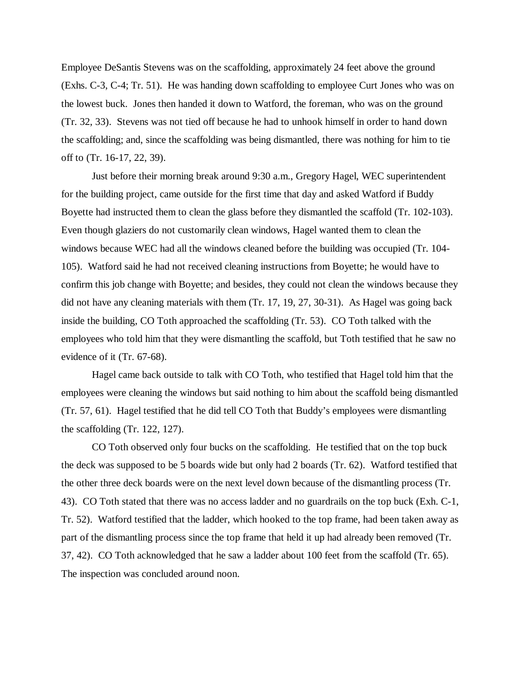Employee DeSantis Stevens was on the scaffolding, approximately 24 feet above the ground (Exhs. C-3, C-4; Tr. 51). He was handing down scaffolding to employee Curt Jones who was on the lowest buck. Jones then handed it down to Watford, the foreman, who was on the ground (Tr. 32, 33). Stevens was not tied off because he had to unhook himself in order to hand down the scaffolding; and, since the scaffolding was being dismantled, there was nothing for him to tie off to (Tr. 16-17, 22, 39).

Just before their morning break around 9:30 a.m., Gregory Hagel, WEC superintendent for the building project, came outside for the first time that day and asked Watford if Buddy Boyette had instructed them to clean the glass before they dismantled the scaffold (Tr. 102-103). Even though glaziers do not customarily clean windows, Hagel wanted them to clean the windows because WEC had all the windows cleaned before the building was occupied (Tr. 104- 105). Watford said he had not received cleaning instructions from Boyette; he would have to confirm this job change with Boyette; and besides, they could not clean the windows because they did not have any cleaning materials with them (Tr. 17, 19, 27, 30-31). As Hagel was going back inside the building, CO Toth approached the scaffolding (Tr. 53). CO Toth talked with the employees who told him that they were dismantling the scaffold, but Toth testified that he saw no evidence of it (Tr. 67-68).

Hagel came back outside to talk with CO Toth, who testified that Hagel told him that the employees were cleaning the windows but said nothing to him about the scaffold being dismantled (Tr. 57, 61). Hagel testified that he did tell CO Toth that Buddy's employees were dismantling the scaffolding (Tr. 122, 127).

CO Toth observed only four bucks on the scaffolding. He testified that on the top buck the deck was supposed to be 5 boards wide but only had 2 boards (Tr. 62). Watford testified that the other three deck boards were on the next level down because of the dismantling process (Tr. 43). CO Toth stated that there was no access ladder and no guardrails on the top buck (Exh. C-1, Tr. 52). Watford testified that the ladder, which hooked to the top frame, had been taken away as part of the dismantling process since the top frame that held it up had already been removed (Tr. 37, 42). CO Toth acknowledged that he saw a ladder about 100 feet from the scaffold (Tr. 65). The inspection was concluded around noon.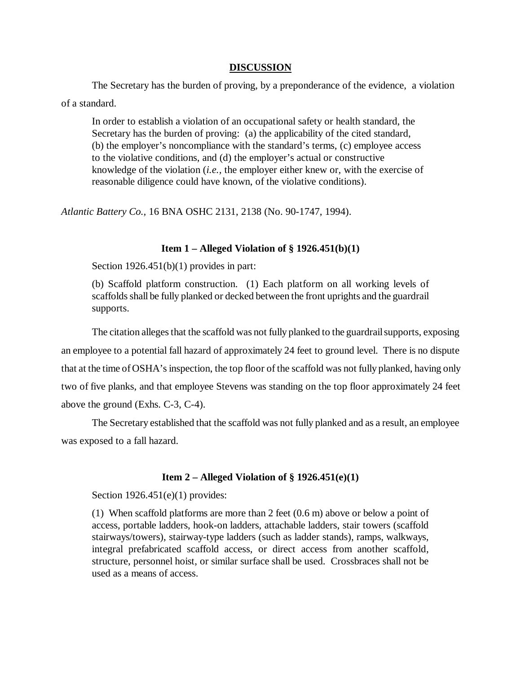## **DISCUSSION**

The Secretary has the burden of proving, by a preponderance of the evidence, a violation of a standard.

In order to establish a violation of an occupational safety or health standard, the Secretary has the burden of proving: (a) the applicability of the cited standard, (b) the employer's noncompliance with the standard's terms, (c) employee access to the violative conditions, and (d) the employer's actual or constructive knowledge of the violation (*i.e.,* the employer either knew or, with the exercise of reasonable diligence could have known, of the violative conditions).

*Atlantic Battery Co.,* 16 BNA OSHC 2131, 2138 (No. 90-1747, 1994).

# **Item 1 – Alleged Violation of § 1926.451(b)(1)**

Section 1926.451(b)(1) provides in part:

(b) Scaffold platform construction. (1) Each platform on all working levels of scaffolds shall be fully planked or decked between the front uprights and the guardrail supports.

The citation alleges that the scaffold was not fully planked to the guardrail supports, exposing an employee to a potential fall hazard of approximately 24 feet to ground level. There is no dispute that at the time of OSHA's inspection, the top floor of the scaffold was not fully planked, having only two of five planks, and that employee Stevens was standing on the top floor approximately 24 feet above the ground (Exhs. C-3, C-4).

The Secretary established that the scaffold was not fully planked and as a result, an employee was exposed to a fall hazard.

# **Item 2 – Alleged Violation of § 1926.451(e)(1)**

Section 1926.451(e)(1) provides:

(1) When scaffold platforms are more than 2 feet (0.6 m) above or below a point of access, portable ladders, hook-on ladders, attachable ladders, stair towers (scaffold stairways/towers), stairway-type ladders (such as ladder stands), ramps, walkways, integral prefabricated scaffold access, or direct access from another scaffold, structure, personnel hoist, or similar surface shall be used. Crossbraces shall not be used as a means of access.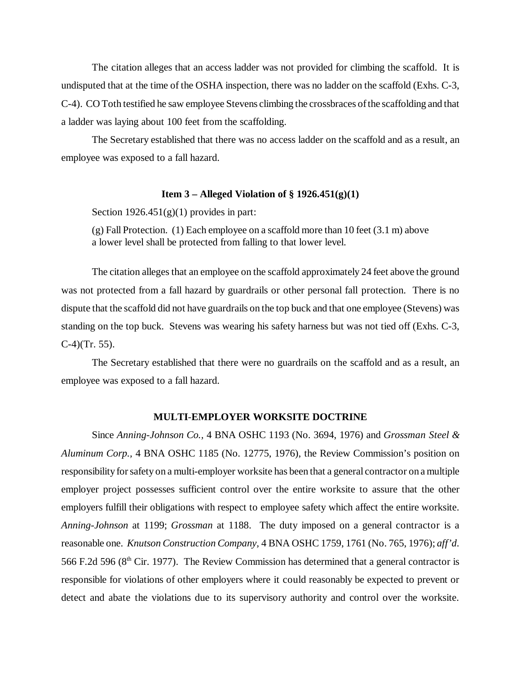The citation alleges that an access ladder was not provided for climbing the scaffold. It is undisputed that at the time of the OSHA inspection, there was no ladder on the scaffold (Exhs. C-3, C-4). CO Toth testified he saw employee Stevens climbing the crossbraces of the scaffolding and that a ladder was laying about 100 feet from the scaffolding.

The Secretary established that there was no access ladder on the scaffold and as a result, an employee was exposed to a fall hazard.

### **Item 3 – Alleged Violation of § 1926.451(g)(1)**

Section  $1926.451(g)(1)$  provides in part:

(g) Fall Protection. (1) Each employee on a scaffold more than 10 feet (3.1 m) above a lower level shall be protected from falling to that lower level.

The citation alleges that an employee on the scaffold approximately 24 feet above the ground was not protected from a fall hazard by guardrails or other personal fall protection. There is no dispute that the scaffold did not have guardrails on the top buck and that one employee (Stevens) was standing on the top buck. Stevens was wearing his safety harness but was not tied off (Exhs. C-3,  $C-4$  $(Tr. 55)$ .

The Secretary established that there were no guardrails on the scaffold and as a result, an employee was exposed to a fall hazard.

## **MULTI**-**EMPLOYER WORKSITE DOCTRINE**

Since *Anning-Johnson Co.,* 4 BNA OSHC 1193 (No. 3694, 1976) and *Grossman Steel & Aluminum Corp.,* 4 BNA OSHC 1185 (No. 12775, 1976), the Review Commission's position on responsibility for safety on a multi-employer worksite has been that a general contractor on a multiple employer project possesses sufficient control over the entire worksite to assure that the other employers fulfill their obligations with respect to employee safety which affect the entire worksite. *Anning-Johnson* at 1199; *Grossman* at 1188. The duty imposed on a general contractor is a reasonable one. *Knutson Construction Company,* 4 BNA OSHC 1759, 1761 (No. 765, 1976); *aff'd*. 566 F.2d 596 ( $8<sup>th</sup>$  Cir. 1977). The Review Commission has determined that a general contractor is responsible for violations of other employers where it could reasonably be expected to prevent or detect and abate the violations due to its supervisory authority and control over the worksite.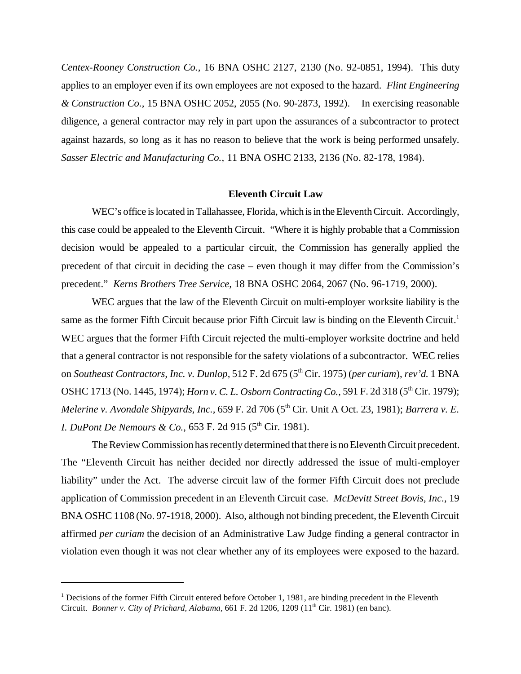*Centex-Rooney Construction Co.,* 16 BNA OSHC 2127, 2130 (No. 92-0851, 1994). This duty applies to an employer even if its own employees are not exposed to the hazard. *Flint Engineering & Construction Co.,* 15 BNA OSHC 2052, 2055 (No. 90-2873, 1992). In exercising reasonable diligence, a general contractor may rely in part upon the assurances of a subcontractor to protect against hazards, so long as it has no reason to believe that the work is being performed unsafely. *Sasser Electric and Manufacturing Co.,* 11 BNA OSHC 2133, 2136 (No. 82-178, 1984).

#### **Eleventh Circuit Law**

WEC's office is located in Tallahassee, Florida, which is in the Eleventh Circuit. Accordingly, this case could be appealed to the Eleventh Circuit. "Where it is highly probable that a Commission decision would be appealed to a particular circuit, the Commission has generally applied the precedent of that circuit in deciding the case – even though it may differ from the Commission's precedent." *Kerns Brothers Tree Service,* 18 BNA OSHC 2064, 2067 (No. 96-1719, 2000).

WEC argues that the law of the Eleventh Circuit on multi-employer worksite liability is the same as the former Fifth Circuit because prior Fifth Circuit law is binding on the Eleventh Circuit.<sup>1</sup> WEC argues that the former Fifth Circuit rejected the multi-employer worksite doctrine and held that a general contractor is not responsible for the safety violations of a subcontractor. WEC relies on *Southeast Contractors, Inc. v. Dunlop,* 512 F. 2d 675 (5<sup>th</sup> Cir. 1975) (*per curiam*), *rev'd.* 1 BNA OSHC 1713 (No. 1445, 1974); *Horn v. C. L. Osborn Contracting Co.*, 591 F. 2d 318 (5<sup>th</sup> Cir. 1979); *Melerine v. Avondale Shipyards, Inc., 659 F. 2d 706 (5<sup>th</sup> Cir. Unit A Oct. 23, 1981); <i>Barrera v. E. I. DuPont De Nemours & Co.,* 653 F. 2d 915 (5<sup>th</sup> Cir. 1981).

The Review Commission has recently determined that there is no Eleventh Circuit precedent. The "Eleventh Circuit has neither decided nor directly addressed the issue of multi-employer liability" under the Act. The adverse circuit law of the former Fifth Circuit does not preclude application of Commission precedent in an Eleventh Circuit case. *McDevitt Street Bovis, Inc.,* 19 BNA OSHC 1108 (No. 97-1918, 2000). Also, although not binding precedent, the Eleventh Circuit affirmed *per curiam* the decision of an Administrative Law Judge finding a general contractor in violation even though it was not clear whether any of its employees were exposed to the hazard.

<sup>&</sup>lt;sup>1</sup> Decisions of the former Fifth Circuit entered before October 1, 1981, are binding precedent in the Eleventh Circuit. *Bonner v. City of Prichard, Alabama,* 661 F. 2d 1206, 1209 (11<sup>th</sup> Cir. 1981) (en banc).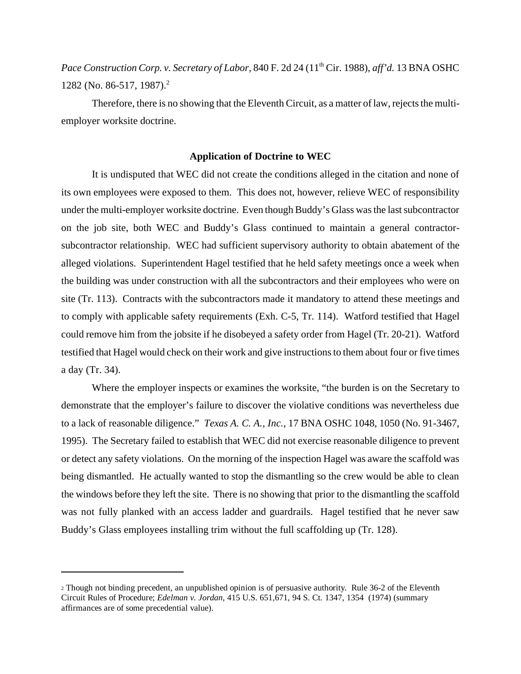*Pace Construction Corp. v. Secretary of Labor, 840 F. 2d 24 (11<sup>th</sup> Cir. 1988), <i>aff'd.* 13 BNA OSHC 1282 (No. 86-517, 1987).<sup>2</sup>

Therefore, there is no showing that the Eleventh Circuit, as a matter of law, rejects the multiemployer worksite doctrine.

## **Application of Doctrine to WEC**

It is undisputed that WEC did not create the conditions alleged in the citation and none of its own employees were exposed to them. This does not, however, relieve WEC of responsibility under the multi-employer worksite doctrine. Even though Buddy's Glass was the last subcontractor on the job site, both WEC and Buddy's Glass continued to maintain a general contractorsubcontractor relationship. WEC had sufficient supervisory authority to obtain abatement of the alleged violations. Superintendent Hagel testified that he held safety meetings once a week when the building was under construction with all the subcontractors and their employees who were on site (Tr. 113). Contracts with the subcontractors made it mandatory to attend these meetings and to comply with applicable safety requirements (Exh. C-5, Tr. 114). Watford testified that Hagel could remove him from the jobsite if he disobeyed a safety order from Hagel (Tr. 20-21). Watford testified that Hagel would check on their work and give instructions to them about four or five times a day (Tr. 34).

Where the employer inspects or examines the worksite, "the burden is on the Secretary to demonstrate that the employer's failure to discover the violative conditions was nevertheless due to a lack of reasonable diligence." *Texas A. C. A., Inc.,* 17 BNA OSHC 1048, 1050 (No. 91-3467, 1995). The Secretary failed to establish that WEC did not exercise reasonable diligence to prevent or detect any safety violations. On the morning of the inspection Hagel was aware the scaffold was being dismantled. He actually wanted to stop the dismantling so the crew would be able to clean the windows before they left the site. There is no showing that prior to the dismantling the scaffold was not fully planked with an access ladder and guardrails. Hagel testified that he never saw Buddy's Glass employees installing trim without the full scaffolding up (Tr. 128).

<sup>2</sup> Though not binding precedent, an unpublished opinion is of persuasive authority. Rule 36-2 of the Eleventh Circuit Rules of Procedure; *Edelman v. Jordan,* 415 U.S. 651,671, 94 S. Ct. 1347, 1354 (1974) (summary affirmances are of some precedential value).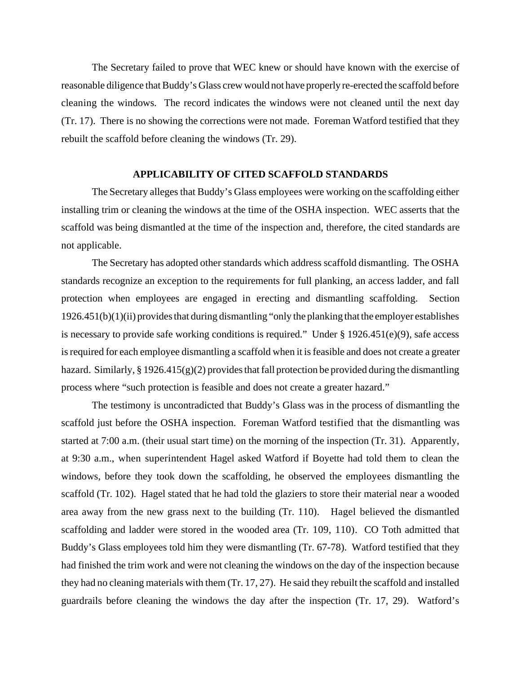The Secretary failed to prove that WEC knew or should have known with the exercise of reasonable diligence that Buddy's Glass crew would not have properly re-erected the scaffold before cleaning the windows. The record indicates the windows were not cleaned until the next day (Tr. 17). There is no showing the corrections were not made. Foreman Watford testified that they rebuilt the scaffold before cleaning the windows (Tr. 29).

### **APPLICABILITY OF CITED SCAFFOLD STANDARDS**

The Secretary alleges that Buddy's Glass employees were working on the scaffolding either installing trim or cleaning the windows at the time of the OSHA inspection. WEC asserts that the scaffold was being dismantled at the time of the inspection and, therefore, the cited standards are not applicable.

The Secretary has adopted other standards which address scaffold dismantling. The OSHA standards recognize an exception to the requirements for full planking, an access ladder, and fall protection when employees are engaged in erecting and dismantling scaffolding. Section 1926.451(b)(1)(ii) provides that during dismantling "only the planking that the employer establishes is necessary to provide safe working conditions is required." Under  $\S$  1926.451(e)(9), safe access is required for each employee dismantling a scaffold when it is feasible and does not create a greater hazard. Similarly, § 1926.415(g)(2) provides that fall protection be provided during the dismantling process where "such protection is feasible and does not create a greater hazard."

The testimony is uncontradicted that Buddy's Glass was in the process of dismantling the scaffold just before the OSHA inspection. Foreman Watford testified that the dismantling was started at 7:00 a.m. (their usual start time) on the morning of the inspection (Tr. 31). Apparently, at 9:30 a.m., when superintendent Hagel asked Watford if Boyette had told them to clean the windows, before they took down the scaffolding, he observed the employees dismantling the scaffold (Tr. 102). Hagel stated that he had told the glaziers to store their material near a wooded area away from the new grass next to the building (Tr. 110). Hagel believed the dismantled scaffolding and ladder were stored in the wooded area (Tr. 109, 110). CO Toth admitted that Buddy's Glass employees told him they were dismantling (Tr. 67-78). Watford testified that they had finished the trim work and were not cleaning the windows on the day of the inspection because they had no cleaning materials with them (Tr. 17, 27). He said they rebuilt the scaffold and installed guardrails before cleaning the windows the day after the inspection (Tr. 17, 29). Watford's